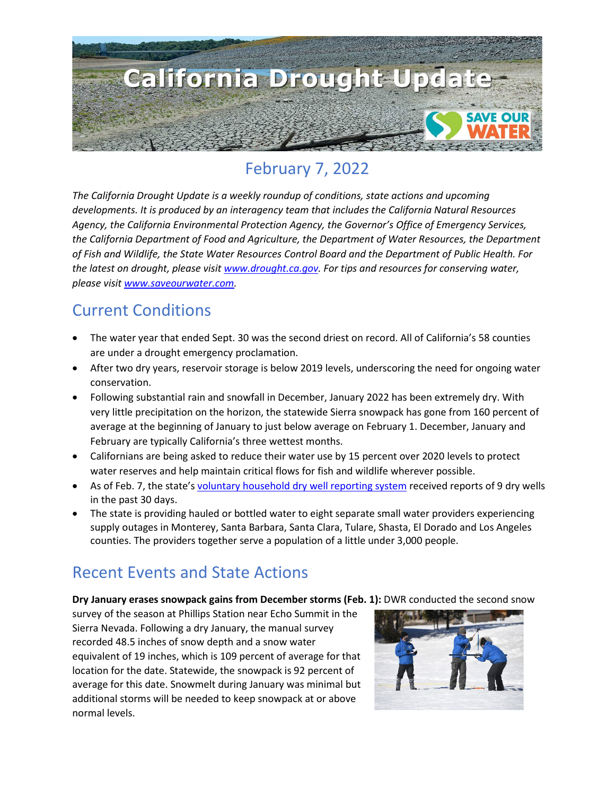

# February 7, 2022

*The California Drought Update is a weekly roundup of conditions, state actions and upcoming developments. It is produced by an interagency team that includes the California Natural Resources Agency, the California Environmental Protection Agency, the Governor's Office of Emergency Services, the California Department of Food and Agriculture, the Department of Water Resources, the Department of Fish and Wildlife, the State Water Resources Control Board and the Department of Public Health. For the latest on drought, please visit [www.drought.ca.gov.](http://www.drought.ca.gov/) For tips and resources for conserving water, please visit [www.saveourwater.com.](http://www.saveourwater.com/)*

#### Current Conditions

- The water year that ended Sept. 30 was the second driest on record. All of California's 58 counties are under a drought emergency proclamation.
- After two dry years, reservoir storage is below 2019 levels, underscoring the need for ongoing water conservation.
- Following substantial rain and snowfall in December, January 2022 has been extremely dry. With very little precipitation on the horizon, the statewide Sierra snowpack has gone from 160 percent of average at the beginning of January to just below average on February 1. December, January and February are typically California's three wettest months.
- Californians are being asked to reduce their water use by 15 percent over 2020 levels to protect water reserves and help maintain critical flows for fish and wildlife wherever possible.
- As of Feb. 7, the state'[s voluntary household dry well reporting system](https://mydrywell.water.ca.gov/report/) received reports of 9 dry wells in the past 30 days.
- The state is providing hauled or bottled water to eight separate small water providers experiencing supply outages in Monterey, Santa Barbara, Santa Clara, Tulare, Shasta, El Dorado and Los Angeles counties. The providers together serve a population of a little under 3,000 people.

## Recent Events and State Actions

**Dry January erases snowpack gains from December storms (Feb. 1):** DWR conducted the second snow

survey of the season at Phillips Station near Echo Summit in the Sierra Nevada. Following a dry January, the manual survey recorded 48.5 inches of snow depth and a snow water equivalent of 19 inches, which is 109 percent of average for that location for the date. Statewide, the snowpack is 92 percent of average for this date. Snowmelt during January was minimal but additional storms will be needed to keep snowpack at or above normal levels.

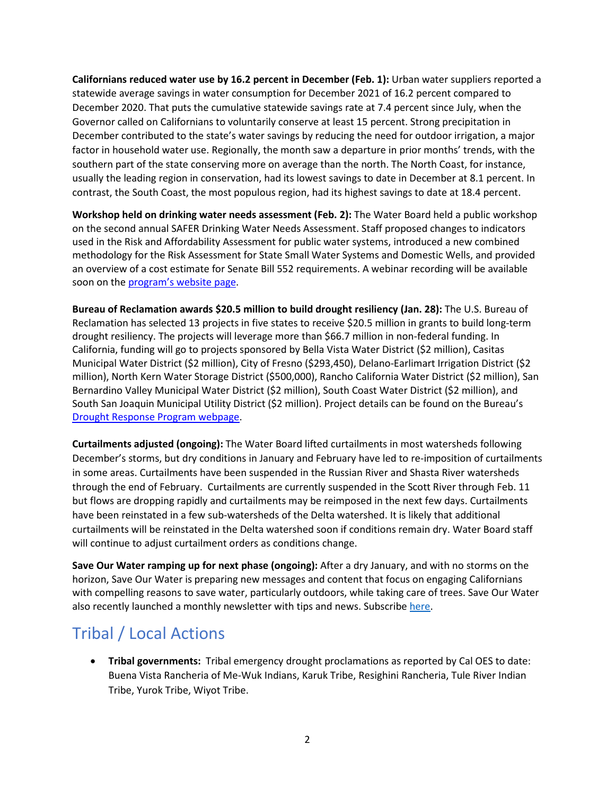**Californians reduced water use by 16.2 percent in December (Feb. 1):** Urban water suppliers reported a statewide average savings in water consumption for December 2021 of 16.2 percent compared to December 2020. That puts the cumulative statewide savings rate at 7.4 percent since July, when the Governor called on Californians to voluntarily conserve at least 15 percent. Strong precipitation in December contributed to the state's water savings by reducing the need for outdoor irrigation, a major factor in household water use. Regionally, the month saw a departure in prior months' trends, with the southern part of the state conserving more on average than the north. The North Coast, for instance, usually the leading region in conservation, had its lowest savings to date in December at 8.1 percent. In contrast, the South Coast, the most populous region, had its highest savings to date at 18.4 percent.

**Workshop held on drinking water needs assessment (Feb. 2):** The Water Board held a public workshop on the second annual SAFER Drinking Water Needs Assessment. Staff proposed changes to indicators used in the Risk and Affordability Assessment for public water systems, introduced a new combined methodology for the Risk Assessment for State Small Water Systems and Domestic Wells, and provided an overview of a cost estimate for Senate Bill 552 requirements. A webinar recording will be available soon on th[e program's website](https://www.waterboards.ca.gov/drinking_water/certlic/drinkingwater/needs) page.

**Bureau of Reclamation awards \$20.5 million to build drought resiliency (Jan. 28):** The U.S. Bureau of Reclamation has selected 13 projects in five states to receive \$20.5 million in grants to build long-term drought resiliency. The projects will leverage more than \$66.7 million in non-federal funding. In California, funding will go to projects sponsored by Bella Vista Water District (\$2 million), Casitas Municipal Water District (\$2 million), City of Fresno (\$293,450), Delano-Earlimart Irrigation District (\$2 million), North Kern Water Storage District (\$500,000), Rancho California Water District (\$2 million), San Bernardino Valley Municipal Water District (\$2 million), South Coast Water District (\$2 million), and South San Joaquin Municipal Utility District (\$2 million). Project details can be found on the Bureau's [Drought Response Program webpage.](https://www.usbr.gov/drought/)

**Curtailments adjusted (ongoing):** The Water Board lifted curtailments in most watersheds following December's storms, but dry conditions in January and February have led to re-imposition of curtailments in some areas. Curtailments have been suspended in the Russian River and Shasta River watersheds through the end of February. Curtailments are currently suspended in the Scott River through Feb. 11 but flows are dropping rapidly and curtailments may be reimposed in the next few days. Curtailments have been reinstated in a few sub-watersheds of the Delta watershed. It is likely that additional curtailments will be reinstated in the Delta watershed soon if conditions remain dry. Water Board staff will continue to adjust curtailment orders as conditions change.

**Save Our Water ramping up for next phase (ongoing):** After a dry January, and with no storms on the horizon, Save Our Water is preparing new messages and content that focus on engaging Californians with compelling reasons to save water, particularly outdoors, while taking care of trees. Save Our Water also recently launched a monthly newsletter with tips and news. Subscrib[e here.](https://saveourwater.com/en/Subscribe-to-Newsletter?utm_medium=email&utm_source=govdelivery)

# Tribal / Local Actions

• **Tribal governments:** Tribal emergency drought proclamations as reported by Cal OES to date: Buena Vista Rancheria of Me-Wuk Indians, Karuk Tribe, Resighini Rancheria, Tule River Indian Tribe, Yurok Tribe, Wiyot Tribe.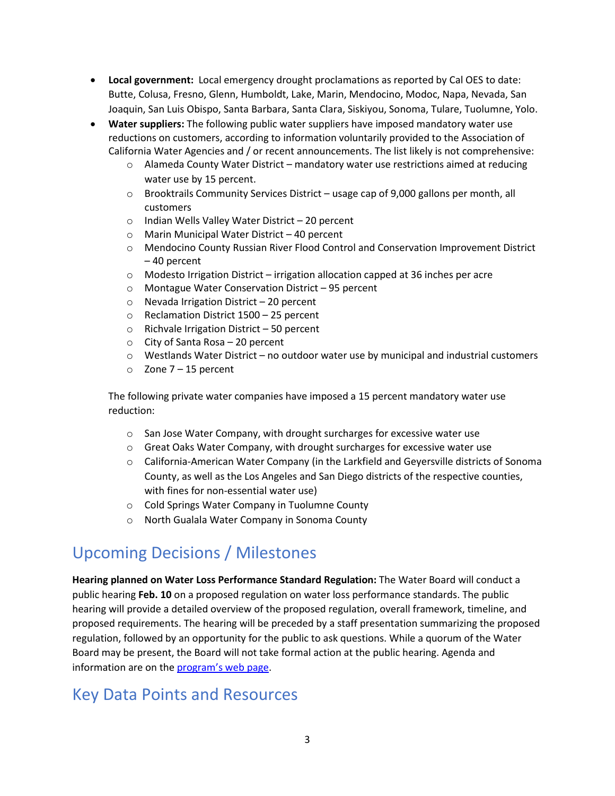- **Local government:** Local emergency drought proclamations as reported by Cal OES to date: Butte, Colusa, Fresno, Glenn, Humboldt, Lake, Marin, Mendocino, Modoc, Napa, Nevada, San Joaquin, San Luis Obispo, Santa Barbara, Santa Clara, Siskiyou, Sonoma, Tulare, Tuolumne, Yolo.
- **Water suppliers:** The following public water suppliers have imposed mandatory water use reductions on customers, according to information voluntarily provided to the Association of California Water Agencies and / or recent announcements. The list likely is not comprehensive:
	- o Alameda County Water District mandatory water use restrictions aimed at reducing water use by 15 percent.
	- o Brooktrails Community Services District usage cap of 9,000 gallons per month, all customers
	- o Indian Wells Valley Water District 20 percent
	- o Marin Municipal Water District 40 percent
	- o Mendocino County Russian River Flood Control and Conservation Improvement District – 40 percent
	- $\circ$  Modesto Irrigation District irrigation allocation capped at 36 inches per acre
	- o Montague Water Conservation District 95 percent
	- o Nevada Irrigation District 20 percent
	- o Reclamation District 1500 25 percent
	- o Richvale Irrigation District 50 percent
	- o City of Santa Rosa 20 percent
	- $\circ$  Westlands Water District no outdoor water use by municipal and industrial customers
	- $\circ$  Zone 7 15 percent

The following private water companies have imposed a 15 percent mandatory water use reduction:

- o San Jose Water Company, with drought surcharges for excessive water use
- o Great Oaks Water Company, with drought surcharges for excessive water use
- o California-American Water Company (in the Larkfield and Geyersville districts of Sonoma County, as well as the Los Angeles and San Diego districts of the respective counties, with fines for non-essential water use)
- o Cold Springs Water Company in Tuolumne County
- o North Gualala Water Company in Sonoma County

### Upcoming Decisions / Milestones

**Hearing planned on Water Loss Performance Standard Regulation:** The Water Board will conduct a public hearing **Feb. 10** on a proposed regulation on water loss performance standards. The public hearing will provide a detailed overview of the proposed regulation, overall framework, timeline, and proposed requirements. The hearing will be preceded by a staff presentation summarizing the proposed regulation, followed by an opportunity for the public to ask questions. While a quorum of the Water Board may be present, the Board will not take formal action at the public hearing. Agenda and information are on the [program's web page.](https://www.waterboards.ca.gov/drinking_water/certlic/drinkingwater/rulemaking.html)

#### Key Data Points and Resources